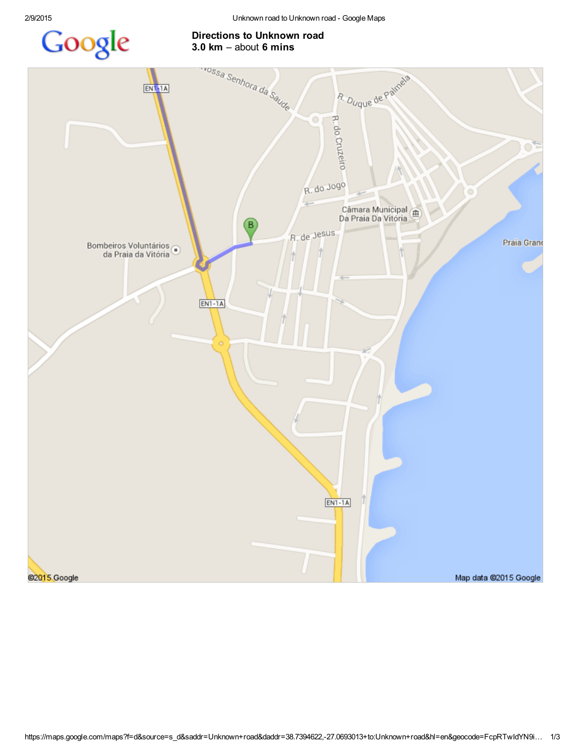## Google

## Directions to Unknown road

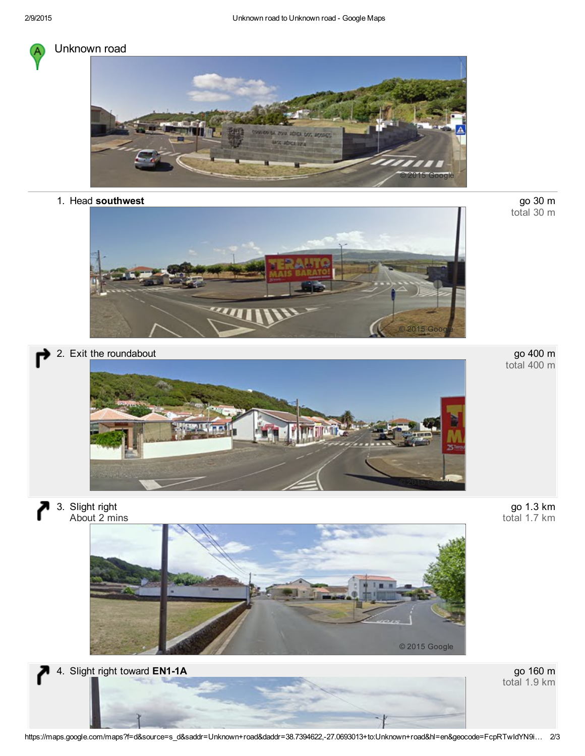

## Unknown road



1. Head southwest



go 30 m<br>total 30 m





י 3. Slight right About 2 mins





total 1.9 km